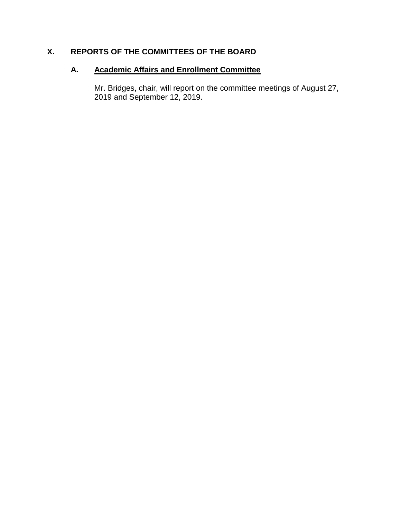# **X. REPORTS OF THE COMMITTEES OF THE BOARD**

# **A. Academic Affairs and Enrollment Committee**

Mr. Bridges, chair, will report on the committee meetings of August 27, 2019 and September 12, 2019.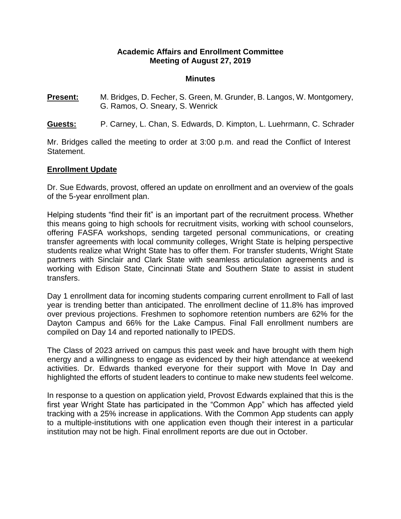#### **Academic Affairs and Enrollment Committee Meeting of August 27, 2019**

#### **Minutes**

- **Present:** M. Bridges, D. Fecher, S. Green, M. Grunder, B. Langos, W. Montgomery, G. Ramos, O. Sneary, S. Wenrick
- **Guests:** P. Carney, L. Chan, S. Edwards, D. Kimpton, L. Luehrmann, C. Schrader

Mr. Bridges called the meeting to order at 3:00 p.m. and read the Conflict of Interest Statement.

#### **Enrollment Update**

Dr. Sue Edwards, provost, offered an update on enrollment and an overview of the goals of the 5-year enrollment plan.

Helping students "find their fit" is an important part of the recruitment process. Whether this means going to high schools for recruitment visits, working with school counselors, offering FASFA workshops, sending targeted personal communications, or creating transfer agreements with local community colleges, Wright State is helping perspective students realize what Wright State has to offer them. For transfer students, Wright State partners with Sinclair and Clark State with seamless articulation agreements and is working with Edison State, Cincinnati State and Southern State to assist in student transfers.

Day 1 enrollment data for incoming students comparing current enrollment to Fall of last year is trending better than anticipated. The enrollment decline of 11.8% has improved over previous projections. Freshmen to sophomore retention numbers are 62% for the Dayton Campus and 66% for the Lake Campus. Final Fall enrollment numbers are compiled on Day 14 and reported nationally to IPEDS.

The Class of 2023 arrived on campus this past week and have brought with them high energy and a willingness to engage as evidenced by their high attendance at weekend activities. Dr. Edwards thanked everyone for their support with Move In Day and highlighted the efforts of student leaders to continue to make new students feel welcome.

In response to a question on application yield, Provost Edwards explained that this is the first year Wright State has participated in the "Common App" which has affected yield tracking with a 25% increase in applications. With the Common App students can apply to a multiple-institutions with one application even though their interest in a particular institution may not be high. Final enrollment reports are due out in October.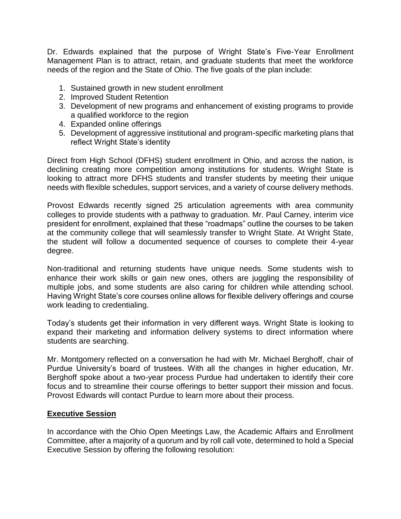Dr. Edwards explained that the purpose of Wright State's Five-Year Enrollment Management Plan is to attract, retain, and graduate students that meet the workforce needs of the region and the State of Ohio. The five goals of the plan include:

- 1. Sustained growth in new student enrollment
- 2. Improved Student Retention
- 3. Development of new programs and enhancement of existing programs to provide a qualified workforce to the region
- 4. Expanded online offerings
- 5. Development of aggressive institutional and program-specific marketing plans that reflect Wright State's identity

Direct from High School (DFHS) student enrollment in Ohio, and across the nation, is declining creating more competition among institutions for students. Wright State is looking to attract more DFHS students and transfer students by meeting their unique needs with flexible schedules, support services, and a variety of course delivery methods.

Provost Edwards recently signed 25 articulation agreements with area community colleges to provide students with a pathway to graduation. Mr. Paul Carney, interim vice president for enrollment, explained that these "roadmaps" outline the courses to be taken at the community college that will seamlessly transfer to Wright State. At Wright State, the student will follow a documented sequence of courses to complete their 4-year degree.

Non-traditional and returning students have unique needs. Some students wish to enhance their work skills or gain new ones, others are juggling the responsibility of multiple jobs, and some students are also caring for children while attending school. Having Wright State's core courses online allows for flexible delivery offerings and course work leading to credentialing.

Today's students get their information in very different ways. Wright State is looking to expand their marketing and information delivery systems to direct information where students are searching.

Mr. Montgomery reflected on a conversation he had with Mr. Michael Berghoff, chair of Purdue University's board of trustees. With all the changes in higher education, Mr. Berghoff spoke about a two-year process Purdue had undertaken to identify their core focus and to streamline their course offerings to better support their mission and focus. Provost Edwards will contact Purdue to learn more about their process.

#### **Executive Session**

In accordance with the Ohio Open Meetings Law, the Academic Affairs and Enrollment Committee, after a majority of a quorum and by roll call vote, determined to hold a Special Executive Session by offering the following resolution: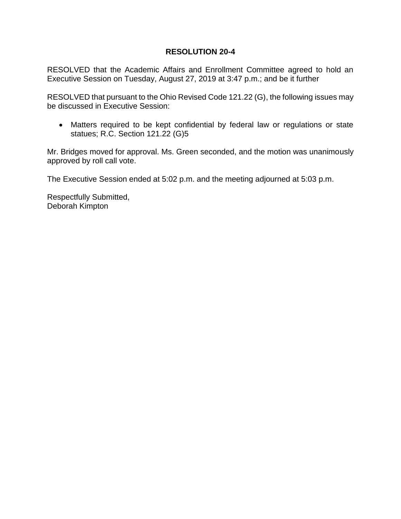## **RESOLUTION 20-4**

RESOLVED that the Academic Affairs and Enrollment Committee agreed to hold an Executive Session on Tuesday, August 27, 2019 at 3:47 p.m.; and be it further

RESOLVED that pursuant to the Ohio Revised Code 121.22 (G), the following issues may be discussed in Executive Session:

 Matters required to be kept confidential by federal law or regulations or state statues; R.C. Section 121.22 (G)5

Mr. Bridges moved for approval. Ms. Green seconded, and the motion was unanimously approved by roll call vote.

The Executive Session ended at 5:02 p.m. and the meeting adjourned at 5:03 p.m.

Respectfully Submitted, Deborah Kimpton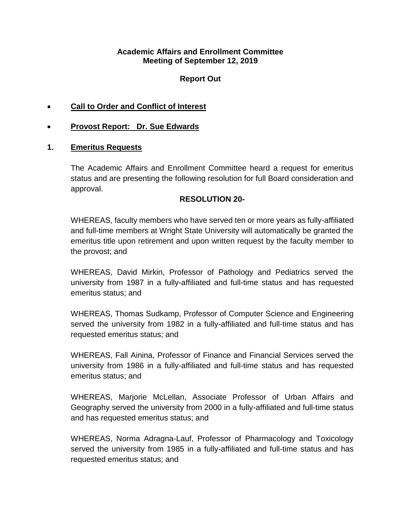#### **Academic Affairs and Enrollment Committee Meeting of September 12, 2019**

## **Report Out**

- **Call to Order and Conflict of Interest**
- **Provost Report: Dr. Sue Edwards**

## **1. Emeritus Requests**

The Academic Affairs and Enrollment Committee heard a request for emeritus status and are presenting the following resolution for full Board consideration and approval.

#### **RESOLUTION 20-**

WHEREAS, faculty members who have served ten or more years as fully-affiliated and full-time members at Wright State University will automatically be granted the emeritus title upon retirement and upon written request by the faculty member to the provost; and

WHEREAS, David Mirkin, Professor of Pathology and Pediatrics served the university from 1987 in a fully-affiliated and full-time status and has requested emeritus status; and

WHEREAS, Thomas Sudkamp, Professor of Computer Science and Engineering served the university from 1982 in a fully-affiliated and full-time status and has requested emeritus status; and

WHEREAS, Fall Ainina, Professor of Finance and Financial Services served the university from 1986 in a fully-affiliated and full-time status and has requested emeritus status; and

WHEREAS, Marjorie McLellan, Associate Professor of Urban Affairs and Geography served the university from 2000 in a fully-affiliated and full-time status and has requested emeritus status; and

WHEREAS, Norma Adragna-Lauf, Professor of Pharmacology and Toxicology served the university from 1985 in a fully-affiliated and full-time status and has requested emeritus status; and